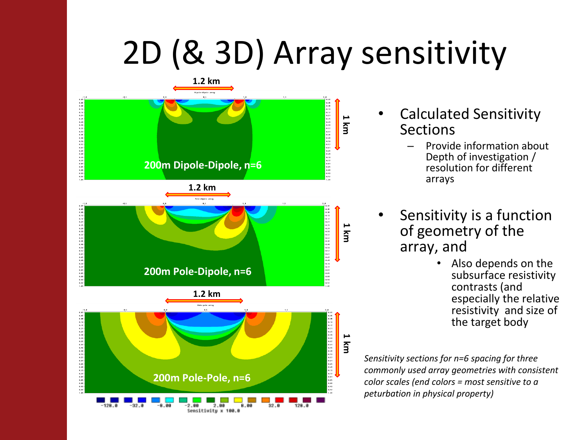# 2D (& 3D) Array sensitivity



- Calculated Sensitivity **Sections** 
	- Provide information about Depth of investigation / resolution for different arrays
- Sensitivity is a function of geometry of the array, and
	- Also depends on the subsurface resistivity contrasts (and especially the relative resistivity and size of the target body

*Sensitivity sections for n=6 spacing for three commonly used array geometries with consistent color scales (end colors = most sensitive to a peturbation in physical property)*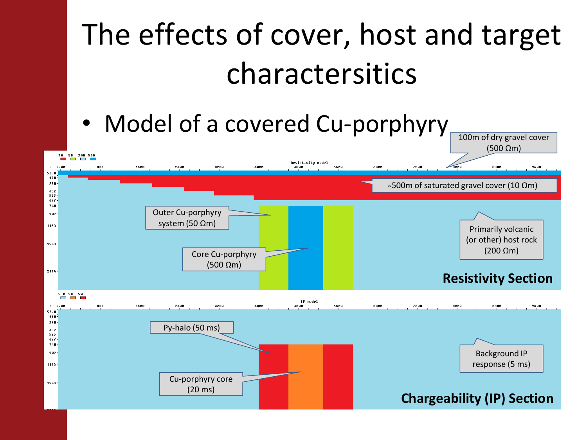#### The effects of cover, host and target charactersitics

#### • Model of a covered Cu-porphyry 100m of dry gravel cover

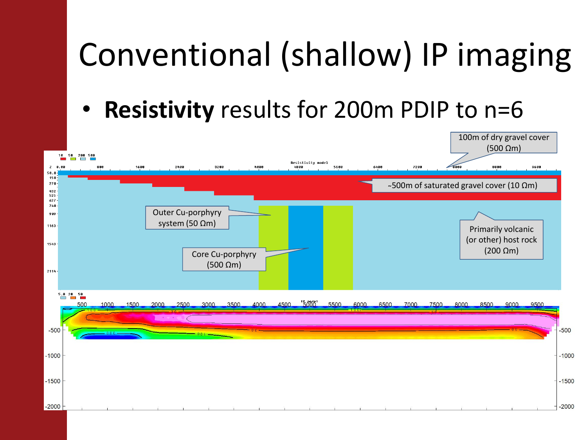# Conventional (shallow) IP imaging

• **Resistivity** results for 200m PDIP to n=6

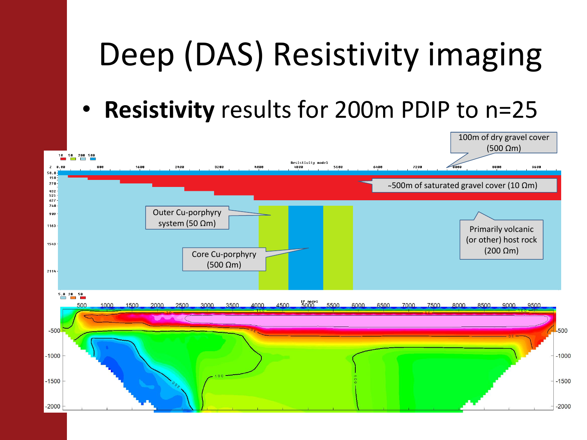# Deep (DAS) Resistivity imaging

• **Resistivity** results for 200m PDIP to n=25

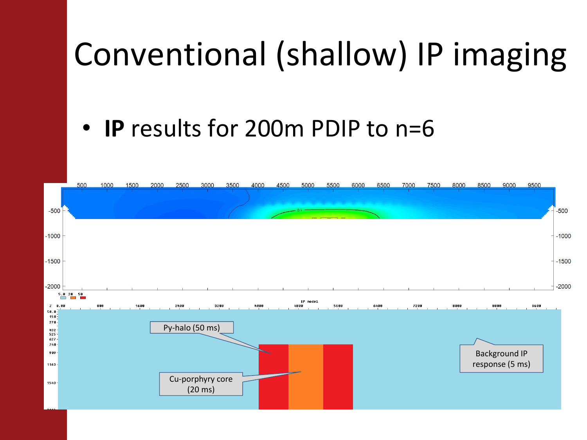### Conventional (shallow) IP imaging

#### • **IP** results for 200m PDIP to n=6

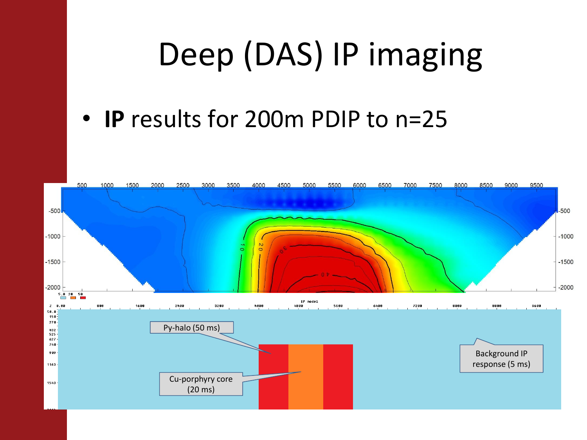## Deep (DAS) IP imaging

#### • **IP** results for 200m PDIP to n=25